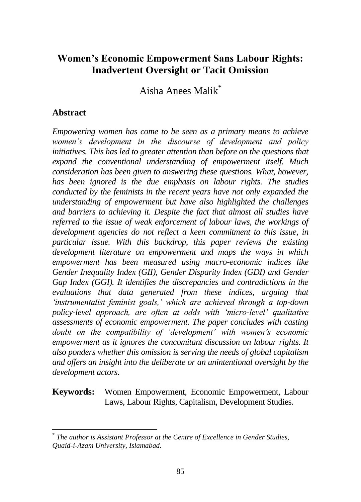# **Women's Economic Empowerment Sans Labour Rights: Inadvertent Oversight or Tacit Omission**

Aisha Anees Malik\*

#### **Abstract**

 $\overline{a}$ 

*Empowering women has come to be seen as a primary means to achieve women's development in the discourse of development and policy initiatives. This has led to greater attention than before on the questions that expand the conventional understanding of empowerment itself. Much consideration has been given to answering these questions. What, however, has been ignored is the due emphasis on labour rights. The studies conducted by the feminists in the recent years have not only expanded the understanding of empowerment but have also highlighted the challenges and barriers to achieving it. Despite the fact that almost all studies have referred to the issue of weak enforcement of labour laws, the workings of development agencies do not reflect a keen commitment to this issue, in particular issue. With this backdrop, this paper reviews the existing development literature on empowerment and maps the ways in which empowerment has been measured using macro-economic indices like Gender Inequality Index (GII), Gender Disparity Index (GDI) and Gender Gap Index (GGI). It identifies the discrepancies and contradictions in the evaluations that data generated from these indices, arguing that 'instrumentalist feminist goals,' which are achieved through a top-down policy-level approach, are often at odds with 'micro-level' qualitative assessments of economic empowerment. The paper concludes with casting doubt on the compatibility of 'development' with women's economic empowerment as it ignores the concomitant discussion on labour rights. It also ponders whether this omission is serving the needs of global capitalism and offers an insight into the deliberate or an unintentional oversight by the development actors.* 

**Keywords:** Women Empowerment, Economic Empowerment, Labour Laws, Labour Rights, Capitalism, Development Studies.

<sup>\*</sup> *The author is Assistant Professor at the Centre of Excellence in Gender Studies, Quaid-i-Azam University, Islamabad.*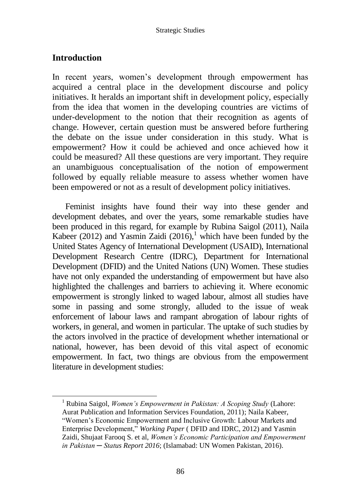## **Introduction**

In recent years, women's development through empowerment has acquired a central place in the development discourse and policy initiatives. It heralds an important shift in development policy, especially from the idea that women in the developing countries are victims of under-development to the notion that their recognition as agents of change. However, certain question must be answered before furthering the debate on the issue under consideration in this study. What is empowerment? How it could be achieved and once achieved how it could be measured? All these questions are very important. They require an unambiguous conceptualisation of the notion of empowerment followed by equally reliable measure to assess whether women have been empowered or not as a result of development policy initiatives.

Feminist insights have found their way into these gender and development debates, and over the years, some remarkable studies have been produced in this regard, for example by Rubina Saigol (2011), Naila Kabeer (2012) and Yasmin Zaidi (2016),<sup>1</sup> which have been funded by the United States Agency of International Development (USAID), International Development Research Centre (IDRC), Department for International Development (DFID) and the United Nations (UN) Women. These studies have not only expanded the understanding of empowerment but have also highlighted the challenges and barriers to achieving it. Where economic empowerment is strongly linked to waged labour, almost all studies have some in passing and some strongly, alluded to the issue of weak enforcement of labour laws and rampant abrogation of labour rights of workers, in general, and women in particular. The uptake of such studies by the actors involved in the practice of development whether international or national, however, has been devoid of this vital aspect of economic empowerment. In fact, two things are obvious from the empowerment literature in development studies:

<sup>1</sup> Rubina Saigol, *Women's Empowerment in Pakistan: A Scoping Study* (Lahore: Aurat Publication and Information Services Foundation, 2011); Naila Kabeer, "Women's Economic Empowerment and Inclusive Growth: Labour Markets and

Enterprise Development," *Working Paper* ( DFID and IDRC, 2012) and Yasmin Zaidi, Shujaat Farooq S. et al, *Women's Economic Participation and Empowerment in Pakistan ─ Status Report 2016*; (Islamabad: UN Women Pakistan, 2016).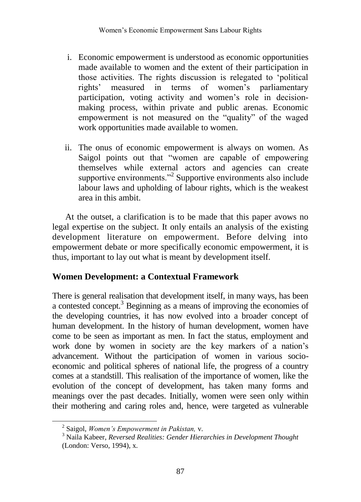- i. Economic empowerment is understood as economic opportunities made available to women and the extent of their participation in those activities. The rights discussion is relegated to 'political rights' measured in terms of women's parliamentary participation, voting activity and women's role in decisionmaking process, within private and public arenas. Economic empowerment is not measured on the "quality" of the waged work opportunities made available to women.
- ii. The onus of economic empowerment is always on women. As Saigol points out that "women are capable of empowering themselves while external actors and agencies can create supportive environments."<sup>2</sup> Supportive environments also include labour laws and upholding of labour rights, which is the weakest area in this ambit.

At the outset, a clarification is to be made that this paper avows no legal expertise on the subject. It only entails an analysis of the existing development literature on empowerment. Before delving into empowerment debate or more specifically economic empowerment, it is thus, important to lay out what is meant by development itself.

## **Women Development: a Contextual Framework**

There is general realisation that development itself, in many ways, has been a contested concept.<sup>3</sup> Beginning as a means of improving the economies of the developing countries, it has now evolved into a broader concept of human development. In the history of human development, women have come to be seen as important as men. In fact the status, employment and work done by women in society are the key markers of a nation's advancement. Without the participation of women in various socioeconomic and political spheres of national life, the progress of a country comes at a standstill. This realisation of the importance of women, like the evolution of the concept of development, has taken many forms and meanings over the past decades. Initially, women were seen only within their mothering and caring roles and, hence, were targeted as vulnerable

<sup>2</sup> Saigol, *Women's Empowerment in Pakistan,* v.

<sup>3</sup> Naila Kabeer, *Reversed Realities: Gender Hierarchies in Development Thought* (London: Verso, 1994), x.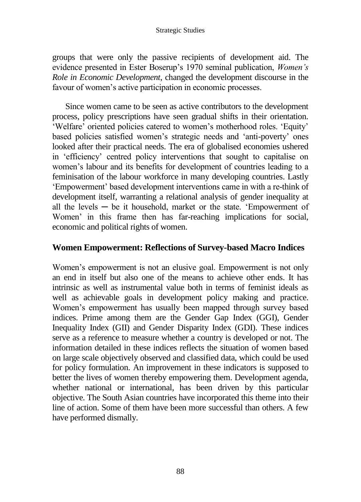#### Strategic Studies

groups that were only the passive recipients of development aid. The evidence presented in Ester Boserup's 1970 seminal publication, *Women's Role in Economic Development*, changed the development discourse in the favour of women's active participation in economic processes.

Since women came to be seen as active contributors to the development process, policy prescriptions have seen gradual shifts in their orientation. 'Welfare' oriented policies catered to women's motherhood roles. 'Equity' based policies satisfied women's strategic needs and 'anti-poverty' ones looked after their practical needs. The era of globalised economies ushered in 'efficiency' centred policy interventions that sought to capitalise on women's labour and its benefits for development of countries leading to a feminisation of the labour workforce in many developing countries. Lastly 'Empowerment' based development interventions came in with a re-think of development itself, warranting a relational analysis of gender inequality at all the levels  $-$  be it household, market or the state. 'Empowerment of Women' in this frame then has far-reaching implications for social, economic and political rights of women.

#### **Women Empowerment: Reflections of Survey-based Macro Indices**

Women's empowerment is not an elusive goal. Empowerment is not only an end in itself but also one of the means to achieve other ends. It has intrinsic as well as instrumental value both in terms of feminist ideals as well as achievable goals in development policy making and practice. Women's empowerment has usually been mapped through survey based indices. Prime among them are the Gender Gap Index (GGI), Gender Inequality Index (GII) and Gender Disparity Index (GDI). These indices serve as a reference to measure whether a country is developed or not. The information detailed in these indices reflects the situation of women based on large scale objectively observed and classified data, which could be used for policy formulation. An improvement in these indicators is supposed to better the lives of women thereby empowering them. Development agenda, whether national or international, has been driven by this particular objective. The South Asian countries have incorporated this theme into their line of action. Some of them have been more successful than others. A few have performed dismally.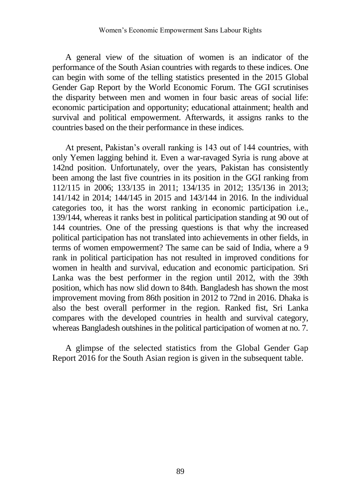A general view of the situation of women is an indicator of the performance of the South Asian countries with regards to these indices. One can begin with some of the telling statistics presented in the 2015 Global Gender Gap Report by the World Economic Forum. The GGI scrutinises the disparity between men and women in four basic areas of social life: economic participation and opportunity; educational attainment; health and survival and political empowerment. Afterwards, it assigns ranks to the countries based on the their performance in these indices.

At present, Pakistan's overall ranking is 143 out of 144 countries, with only Yemen lagging behind it. Even a war-ravaged Syria is rung above at 142nd position. Unfortunately, over the years, Pakistan has consistently been among the last five countries in its position in the GGI ranking from 112/115 in 2006; 133/135 in 2011; 134/135 in 2012; 135/136 in 2013; 141/142 in 2014; 144/145 in 2015 and 143/144 in 2016. In the individual categories too, it has the worst ranking in economic participation i.e., 139/144, whereas it ranks best in political participation standing at 90 out of 144 countries. One of the pressing questions is that why the increased political participation has not translated into achievements in other fields, in terms of women empowerment? The same can be said of India, where a 9 rank in political participation has not resulted in improved conditions for women in health and survival, education and economic participation. Sri Lanka was the best performer in the region until 2012, with the 39th position, which has now slid down to 84th. Bangladesh has shown the most improvement moving from 86th position in 2012 to 72nd in 2016. Dhaka is also the best overall performer in the region. Ranked fist, Sri Lanka compares with the developed countries in health and survival category, whereas Bangladesh outshines in the political participation of women at no. 7.

A glimpse of the selected statistics from the Global Gender Gap Report 2016 for the South Asian region is given in the subsequent table.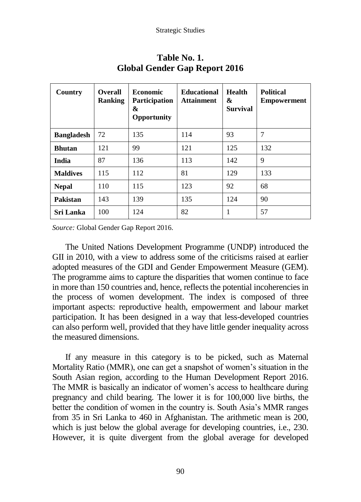| Country           | <b>Overall</b><br><b>Ranking</b> | <b>Economic</b><br>Participation<br>&<br><b>Opportunity</b> | <b>Educational</b><br><b>Attainment</b> | <b>Health</b><br>&<br><b>Survival</b> | <b>Political</b><br>Empowerment |
|-------------------|----------------------------------|-------------------------------------------------------------|-----------------------------------------|---------------------------------------|---------------------------------|
| <b>Bangladesh</b> | 72                               | 135                                                         | 114                                     | 93                                    | 7                               |
| <b>Bhutan</b>     | 121                              | 99                                                          | 121                                     | 125                                   | 132                             |
| India             | 87                               | 136                                                         | 113                                     | 142                                   | 9                               |
| <b>Maldives</b>   | 115                              | 112                                                         | 81                                      | 129                                   | 133                             |
| <b>Nepal</b>      | 110                              | 115                                                         | 123                                     | 92                                    | 68                              |
| Pakistan          | 143                              | 139                                                         | 135                                     | 124                                   | 90                              |
| <b>Sri Lanka</b>  | 100                              | 124                                                         | 82                                      |                                       | 57                              |

## **Table No. 1. Global Gender Gap Report 2016**

*Source:* Global Gender Gap Report 2016.

The United Nations Development Programme (UNDP) introduced the GII in 2010, with a view to address some of the criticisms raised at earlier adopted measures of the GDI and Gender Empowerment Measure (GEM). The programme aims to capture the disparities that women continue to face in more than 150 countries and, hence, reflects the potential incoherencies in the process of women development. The index is composed of three important aspects: reproductive health, empowerment and labour market participation. It has been designed in a way that less-developed countries can also perform well, provided that they have little gender inequality across the measured dimensions.

If any measure in this category is to be picked, such as Maternal Mortality Ratio (MMR), one can get a snapshot of women's situation in the South Asian region, according to the Human Development Report 2016. The MMR is basically an indicator of women's access to healthcare during pregnancy and child bearing. The lower it is for 100,000 live births, the better the condition of women in the country is. South Asia's MMR ranges from 35 in Sri Lanka to 460 in Afghanistan. The arithmetic mean is 200, which is just below the global average for developing countries, i.e., 230. However, it is quite divergent from the global average for developed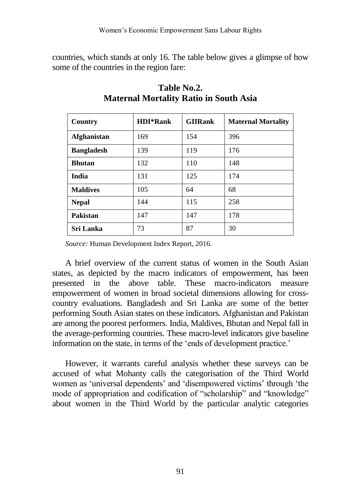countries, which stands at only 16. The table below gives a glimpse of how some of the countries in the region fare:

| Country            | <b>HDI*Rank</b> | <b>GIIRank</b> | <b>Maternal Mortality</b> |
|--------------------|-----------------|----------------|---------------------------|
| <b>Afghanistan</b> | 169             | 154            | 396                       |
| <b>Bangladesh</b>  | 139             | 119            | 176                       |
| <b>Bhutan</b>      | 132             | 110            | 148                       |
| India              | 131             | 125            | 174                       |
| <b>Maldives</b>    | 105             | 64             | 68                        |
| <b>Nepal</b>       | 144             | 115            | 258                       |
| Pakistan           | 147             | 147            | 178                       |
| Sri Lanka          | 73              | 87             | 30                        |

## **Table No.2. Maternal Mortality Ratio in South Asia**

*Source:* Human Development Index Report, 2016.

A brief overview of the current status of women in the South Asian states, as depicted by the macro indicators of empowerment, has been presented in the above table. These macro-indicators measure empowerment of women in broad societal dimensions allowing for crosscountry evaluations. Bangladesh and Sri Lanka are some of the better performing South Asian states on these indicators. Afghanistan and Pakistan are among the poorest performers. India, Maldives, Bhutan and Nepal fall in the average-performing countries. These macro-level indicators give baseline information on the state, in terms of the 'ends of development practice.'

However, it warrants careful analysis whether these surveys can be accused of what Mohanty calls the categorisation of the Third World women as 'universal dependents' and 'disempowered victims' through 'the mode of appropriation and codification of "scholarship" and "knowledge" about women in the Third World by the particular analytic categories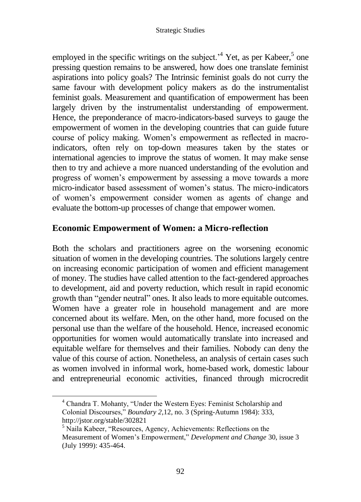employed in the specific writings on the subject.<sup> $4$ </sup> Yet, as per Kabeer,<sup>5</sup> one pressing question remains to be answered, how does one translate feminist aspirations into policy goals? The Intrinsic feminist goals do not curry the same favour with development policy makers as do the instrumentalist feminist goals. Measurement and quantification of empowerment has been largely driven by the instrumentalist understanding of empowerment. Hence, the preponderance of macro-indicators-based surveys to gauge the empowerment of women in the developing countries that can guide future course of policy making. Women's empowerment as reflected in macroindicators, often rely on top-down measures taken by the states or international agencies to improve the status of women. It may make sense then to try and achieve a more nuanced understanding of the evolution and progress of women's empowerment by assessing a move towards a more micro-indicator based assessment of women's status. The micro-indicators of women's empowerment consider women as agents of change and evaluate the bottom-up processes of change that empower women.

## **Economic Empowerment of Women: a Micro-reflection**

Both the scholars and practitioners agree on the worsening economic situation of women in the developing countries. The solutions largely centre on increasing economic participation of women and efficient management of money. The studies have called attention to the fact-gendered approaches to development, aid and poverty reduction, which result in rapid economic growth than "gender neutral" ones. It also leads to more equitable outcomes. Women have a greater role in household management and are more concerned about its welfare. Men, on the other hand, more focused on the personal use than the welfare of the household. Hence, increased economic opportunities for women would automatically translate into increased and equitable welfare for themselves and their families. Nobody can deny the value of this course of action. Nonetheless, an analysis of certain cases such as women involved in informal work, home-based work, domestic labour and entrepreneurial economic activities, financed through microcredit

<sup>4</sup> Chandra T. Mohanty, "Under the Western Eyes: Feminist Scholarship and Colonial Discourses," *Boundary 2,*12, no. 3 (Spring-Autumn 1984): 333, <http://jstor.org/stable/302821>

<sup>5</sup> Naila Kabeer, "Resources, Agency, Achievements: Reflections on the Measurement of Women's Empowerment," *Development and Change* 30, issue 3 (July 1999): 435-464.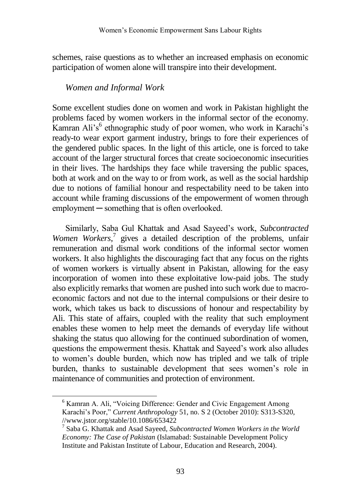schemes, raise questions as to whether an increased emphasis on economic participation of women alone will transpire into their development.

#### *Women and Informal Work*

Some excellent studies done on women and work in Pakistan highlight the problems faced by women workers in the informal sector of the economy. Kamran Ali's<sup>6</sup> ethnographic study of poor women, who work in Karachi's ready-to wear export garment industry, brings to fore their experiences of the gendered public spaces. In the light of this article, one is forced to take account of the larger structural forces that create socioeconomic insecurities in their lives. The hardships they face while traversing the public spaces, both at work and on the way to or from work, as well as the social hardship due to notions of familial honour and respectability need to be taken into account while framing discussions of the empowerment of women through employment — something that is often overlooked.

Similarly, Saba Gul Khattak and Asad Sayeed's work, *Subcontracted*  Women Workers,<sup>7</sup> gives a detailed description of the problems, unfair remuneration and dismal work conditions of the informal sector women workers. It also highlights the discouraging fact that any focus on the rights of women workers is virtually absent in Pakistan, allowing for the easy incorporation of women into these exploitative low-paid jobs. The study also explicitly remarks that women are pushed into such work due to macroeconomic factors and not due to the internal compulsions or their desire to work, which takes us back to discussions of honour and respectability by Ali. This state of affairs, coupled with the reality that such employment enables these women to help meet the demands of everyday life without shaking the status quo allowing for the continued subordination of women, questions the empowerment thesis. Khattak and Sayeed's work also alludes to women's double burden, which now has tripled and we talk of triple burden, thanks to sustainable development that sees women's role in maintenance of communities and protection of environment.

<sup>&</sup>lt;sup>6</sup> Kamran A. Ali, "Voicing Difference: Gender and Civic Engagement Among Karachi's Poor," *Current Anthropology* 51, no. S 2 (October 2010): S313-S320, //www.jstor.org/stable/10.1086/653422

<sup>7</sup> Saba G. Khattak and Asad Sayeed, *Subcontracted Women Workers in the World Economy: The Case of Pakistan* (Islamabad: Sustainable Development Policy Institute and Pakistan Institute of Labour, Education and Research, 2004).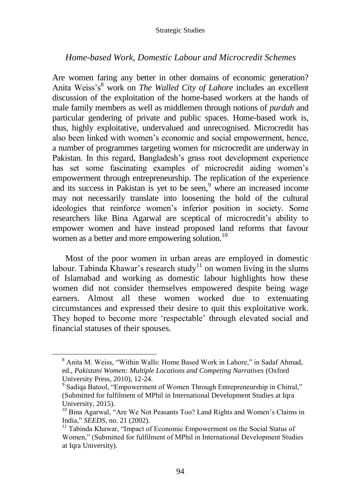#### Strategic Studies

#### *Home-based Work, Domestic Labour and Microcredit Schemes*

Are women faring any better in other domains of economic generation? Anita Weiss's<sup>8</sup> work on *The Walled City of Lahore* includes an excellent discussion of the exploitation of the home-based workers at the hands of male family members as well as middlemen through notions of *purdah* and particular gendering of private and public spaces. Home-based work is, thus, highly exploitative, undervalued and unrecognised. Microcredit has also been linked with women's economic and social empowerment, hence, a number of programmes targeting women for microcredit are underway in Pakistan. In this regard, Bangladesh's grass root development experience has set some fascinating examples of microcredit aiding women's empowerment through entrepreneurship. The replication of the experience and its success in Pakistan is yet to be seen,<sup>9</sup> where an increased income may not necessarily translate into loosening the hold of the cultural ideologies that reinforce women's inferior position in society. Some researchers like Bina Agarwal are sceptical of microcredit's ability to empower women and have instead proposed land reforms that favour women as a better and more empowering solution.<sup>10</sup>

Most of the poor women in urban areas are employed in domestic labour. Tabinda Khawar's research study<sup>11</sup> on women living in the slums of Islamabad and working as domestic labour highlights how these women did not consider themselves empowered despite being wage earners. Almost all these women worked due to extenuating circumstances and expressed their desire to quit this exploitative work. They hoped to become more 'respectable' through elevated social and financial statuses of their spouses.

 $\overline{a}$ 

<sup>8</sup> Anita M. Weiss, "Within Walls: Home Based Work in Lahore," in Sadaf Ahmad, ed., *Pakistani Women: Multiple Locations and Competing Narratives* (Oxford University Press, 2010), 12-24.

<sup>&</sup>lt;sup>9</sup> Sadiqa Batool, "Empowerment of Women Through Entrepreneurship in Chitral," (Submitted for fulfilment of MPhil in International Development Studies at Iqra University, 2015).

<sup>&</sup>lt;sup>10</sup> Bina Agarwal, "Are We Not Peasants Too? Land Rights and Women's Claims in India," *SEEDS,* no. 21 (2002).

<sup>&</sup>lt;sup>11</sup> Tabinda Khawar, "Impact of Economic Empowerment on the Social Status of Women," (Submitted for fulfilment of MPhil in International Development Studies at Iqra University).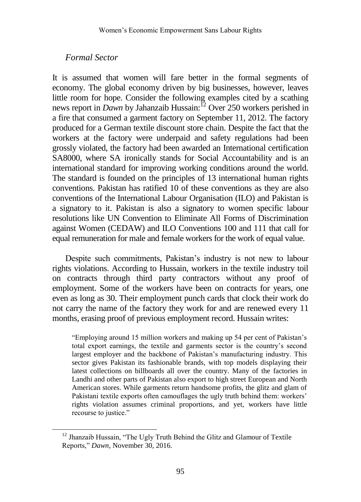#### *Formal Sector*

 $\overline{a}$ 

It is assumed that women will fare better in the formal segments of economy. The global economy driven by big businesses, however, leaves little room for hope. Consider the following examples cited by a scathing news report in *Dawn* by Jahanzaib Hussain:<sup>12</sup> Over 250 workers perished in a fire that consumed a garment factory on September 11, 2012. The factory produced for a German textile discount store chain. Despite the fact that the workers at the factory were underpaid and safety regulations had been grossly violated, the factory had been awarded an International certification SA8000, where SA ironically stands for Social Accountability and is an international standard for improving working conditions around the world. The standard is founded on the principles of 13 international human rights conventions. Pakistan has ratified 10 of these conventions as they are also conventions of the International Labour Organisation (ILO) and Pakistan is a signatory to it. Pakistan is also a signatory to women specific labour resolutions like UN Convention to Eliminate All Forms of Discrimination against Women (CEDAW) and ILO Conventions 100 and 111 that call for equal remuneration for male and female workers for the work of equal value.

Despite such commitments, Pakistan's industry is not new to labour rights violations. According to Hussain, workers in the textile industry toil on contracts through third party contractors without any proof of employment. Some of the workers have been on contracts for years, one even as long as 30. Their employment punch cards that clock their work do not carry the name of the factory they work for and are renewed every 11 months, erasing proof of previous employment record. Hussain writes:

"Employing around 15 million workers and making up 54 per cent of Pakistan's total export earnings, the textile and garments sector is the country's second largest employer and the backbone of Pakistan's manufacturing industry. This sector gives Pakistan its fashionable brands, with top models displaying their latest collections on billboards all over the country. Many of the factories in Landhi and other parts of Pakistan also export to high street European and North American stores. While garments return handsome profits, the glitz and glam of Pakistani textile exports often camouflages the ugly truth behind them: workers' rights violation assumes criminal proportions, and yet, workers have little recourse to justice."

<sup>&</sup>lt;sup>12</sup> Jhanzaib Hussain, "The Ugly Truth Behind the Glitz and Glamour of Textile Reports," *Dawn*, November 30, 2016.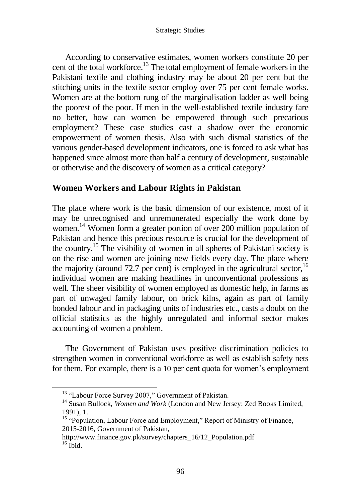According to conservative estimates, women workers constitute 20 per cent of the total workforce.<sup>13</sup> The total employment of female workers in the Pakistani textile and clothing industry may be about 20 per cent but the stitching units in the textile sector employ over 75 per cent female works. Women are at the bottom rung of the marginalisation ladder as well being the poorest of the poor. If men in the well-established textile industry fare no better, how can women be empowered through such precarious employment? These case studies cast a shadow over the economic empowerment of women thesis. Also with such dismal statistics of the various gender-based development indicators, one is forced to ask what has happened since almost more than half a century of development, sustainable or otherwise and the discovery of women as a critical category?

## **Women Workers and Labour Rights in Pakistan**

The place where work is the basic dimension of our existence, most of it may be unrecognised and unremunerated especially the work done by women. <sup>14</sup> Women form a greater portion of over 200 million population of Pakistan and hence this precious resource is crucial for the development of the country.<sup>15</sup> The visibility of women in all spheres of Pakistani society is on the rise and women are joining new fields every day. The place where the majority (around 72.7 per cent) is employed in the agricultural sector,  $16$ individual women are making headlines in unconventional professions as well. The sheer visibility of women employed as domestic help, in farms as part of unwaged family labour, on brick kilns, again as part of family bonded labour and in packaging units of industries etc., casts a doubt on the official statistics as the highly unregulated and informal sector makes accounting of women a problem.

The Government of Pakistan uses positive discrimination policies to strengthen women in conventional workforce as well as establish safety nets for them. For example, there is a 10 per cent quota for women's employment

<sup>&</sup>lt;sup>13</sup> "Labour Force Survey 2007," Government of Pakistan.

<sup>&</sup>lt;sup>14</sup> Susan Bullock, *Women and Work* (London and New Jersey: Zed Books Limited, 1991), 1.

<sup>&</sup>lt;sup>15</sup> "Population, Labour Force and Employment," Report of Ministry of Finance, 2015-2016, Government of Pakistan,

http://www.finance.gov.pk/survey/chapters\_16/12\_Population.pdf  $16$  Ibid.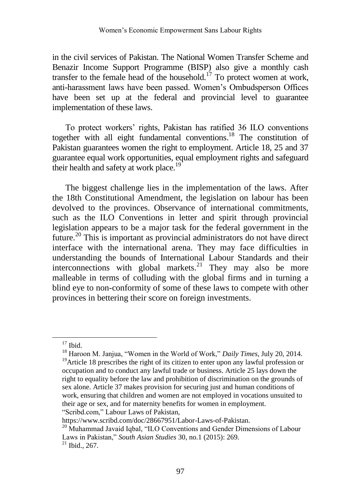in the civil services of Pakistan. The National Women Transfer Scheme and Benazir Income Support Programme (BISP) also give a monthly cash transfer to the female head of the household.<sup>17</sup> To protect women at work, anti-harassment laws have been passed. Women's Ombudsperson Offices have been set up at the federal and provincial level to guarantee implementation of these laws.

To protect workers' rights, Pakistan has ratified 36 ILO conventions together with all eight fundamental conventions.<sup>18</sup> The constitution of Pakistan guarantees women the right to employment. Article 18, 25 and 37 guarantee equal work opportunities, equal employment rights and safeguard their health and safety at work place.<sup>1</sup>

The biggest challenge lies in the implementation of the laws. After the 18th Constitutional Amendment, the legislation on labour has been devolved to the provinces. Observance of international commitments, such as the ILO Conventions in letter and spirit through provincial legislation appears to be a major task for the federal government in the future.<sup>20</sup> This is important as provincial administrators do not have direct interface with the international arena. They may face difficulties in understanding the bounds of International Labour Standards and their interconnections with global markets.<sup>21</sup> They may also be more malleable in terms of colluding with the global firms and in turning a blind eye to non-conformity of some of these laws to compete with other provinces in bettering their score on foreign investments.

 $\overline{a}$ 

 $17$  Ibid.

<sup>18</sup> Haroon M. Janjua, "Women in the World of Work," *Daily Times*, July 20, 2014. <sup>19</sup>Article 18 prescribes the right of its citizen to enter upon any lawful profession or occupation and to conduct any lawful trade or business. Article 25 lays down the right to equality before the law and prohibition of discrimination on the grounds of sex alone. Article 37 makes provision for securing just and human conditions of work, ensuring that children and women are not employed in vocations unsuited to their age or sex, and for maternity benefits for women in employment. "Scribd.com," Labour Laws of Pakistan,

https://www.scribd.com/doc/28667951/Labor-Laws-of-Pakistan.

<sup>&</sup>lt;sup>20</sup> Muhammad Javaid Iqbal, "ILO Conventions and Gender Dimensions of Labour Laws in Pakistan," *South Asian Studies* 30, no.1 (2015): 269.

<sup>21</sup> Ibid., 267.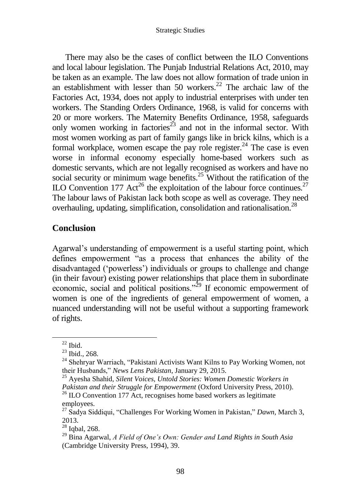There may also be the cases of conflict between the ILO Conventions and local labour legislation. The Punjab Industrial Relations Act, 2010, may be taken as an example. The law does not allow formation of trade union in an establishment with lesser than 50 workers. $22$  The archaic law of the Factories Act, 1934, does not apply to industrial enterprises with under ten workers. The Standing Orders Ordinance, 1968, is valid for concerns with 20 or more workers. The Maternity Benefits Ordinance, 1958, safeguards only women working in factories<sup>23</sup> and not in the informal sector. With most women working as part of family gangs like in brick kilns, which is a formal workplace, women escape the pay role register.<sup>24</sup> The case is even worse in informal economy especially home-based workers such as domestic servants, which are not legally recognised as workers and have no social security or minimum wage benefits.<sup>25</sup> Without the ratification of the ILO Convention 177 Act<sup>26</sup> the exploitation of the labour force continues.<sup>27</sup> The labour laws of Pakistan lack both scope as well as coverage. They need overhauling, updating, simplification, consolidation and rationalisation.<sup>28</sup>

#### **Conclusion**

Agarwal's understanding of empowerment is a useful starting point, which defines empowerment "as a process that enhances the ability of the disadvantaged ('powerless') individuals or groups to challenge and change (in their favour) existing power relationships that place them in subordinate economic, social and political positions."<sup>29</sup> If economic empowerment of women is one of the ingredients of general empowerment of women, a nuanced understanding will not be useful without a supporting framework of rights.

 $\overline{a}$ 

 $22$  Ibid.

<sup>&</sup>lt;sup>23</sup> Ibid., 268.

<sup>&</sup>lt;sup>24</sup> Shehryar Warriach, "Pakistani Activists Want Kilns to Pay Working Women, not their Husbands," *News Lens Pakistan*, January 29, 2015.

<sup>25</sup> Ayesha Shahid, *Silent Voices, Untold Stories: Women Domestic Workers in Pakistan and their Struggle for Empowerment* (Oxford University Press, 2010).

 $26$  ILO Convention 177 Act, recognises home based workers as legitimate employees.

<sup>27</sup> Sadya Siddiqui, "Challenges For Working Women in Pakistan," *Dawn*, March 3, 2013.

<sup>28</sup> Iqbal, 268.

<sup>29</sup> Bina Agarwal, *A Field of One's Own: Gender and Land Rights in South Asia* (Cambridge University Press, 1994), 39.